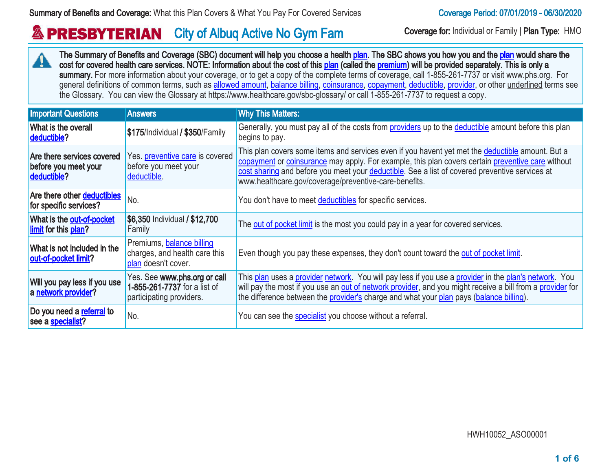#### **& PRESBYTERIAN** City of Albuq Active No Gym Fam Coverage for: Individual or Family | Plan Type: HMO

The Summary of Benefits and Coverage (SBC) document will help you choose a health [plan](http://www.healthcare.gov/sbc-glossary/#plan). The SBC shows you how you and the plan would share the  $\blacktriangle$ cost for covered health care services. NOTE: Information about the cost of this [plan](http://www.healthcare.gov/sbc-glossary/#plan) (called the [premium](http://www.healthcare.gov/sbc-glossary/#premium)) will be provided separately. This is only a summary. For more information about your coverage, or to get a copy of the complete terms of coverage, call 1-855-261-7737 or visit www.phs.org. For general definitions of common terms, such as [allowed amount,](http://www.healthcare.gov/sbc-glossary/#allowed-amount) [balance billing,](http://www.healthcare.gov/sbc-glossary/#balance-billing) [coinsurance](http://www.healthcare.gov/sbc-glossary/#coinsurance), [copayment,](http://www.healthcare.gov/sbc-glossary/#copayment) [deductible,](http://www.healthcare.gov/sbc-glossary/#deductible) [provider,](http://www.healthcare.gov/sbc-glossary/#provider) or other underlined terms see the Glossary. You can view the Glossary at https://www.healthcare.gov/sbc-glossary/ or call 1-855-261-7737 to request a copy.

| <b>Important Questions</b>                                        | <b>Answers</b>                                                                           | <b>Why This Matters:</b>                                                                                                                                                                                                                                                                                                                                                |
|-------------------------------------------------------------------|------------------------------------------------------------------------------------------|-------------------------------------------------------------------------------------------------------------------------------------------------------------------------------------------------------------------------------------------------------------------------------------------------------------------------------------------------------------------------|
| What is the overall<br>deductible?                                | \$175/Individual / \$350/Family                                                          | Generally, you must pay all of the costs from providers up to the deductible amount before this plan<br>begins to pay.                                                                                                                                                                                                                                                  |
| Are there services covered<br>before you meet your<br>deductible? | Yes. preventive care is covered<br>before you meet your<br>deductible.                   | This plan covers some items and services even if you havent yet met the <i>deductible</i> amount. But a<br>copayment or coinsurance may apply. For example, this plan covers certain preventive care without<br>cost sharing and before you meet your deductible. See a list of covered preventive services at<br>www.healthcare.gov/coverage/preventive-care-benefits. |
| Are there other deductibles<br>for specific services?             | No.                                                                                      | You don't have to meet deductibles for specific services.                                                                                                                                                                                                                                                                                                               |
| What is the out-of-pocket<br>limit for this plan?                 | \$6,350 Individual / \$12,700<br>Family                                                  | The out of pocket limit is the most you could pay in a year for covered services.                                                                                                                                                                                                                                                                                       |
| What is not included in the<br>out-of-pocket limit?               | Premiums, balance billing<br>charges, and health care this<br>plan doesn't cover.        | Even though you pay these expenses, they don't count toward the out of pocket limit.                                                                                                                                                                                                                                                                                    |
| Will you pay less if you use<br>a network provider?               | Yes. See www.phs.org or call<br>1-855-261-7737 for a list of<br>participating providers. | This plan uses a provider network. You will pay less if you use a provider in the plan's network. You<br>will pay the most if you use an out of network provider, and you might receive a bill from a provider for<br>the difference between the provider's charge and what your plan pays (balance billing).                                                           |
| Do you need a referral to<br>see a specialist?                    | No.                                                                                      | You can see the specialist you choose without a referral.                                                                                                                                                                                                                                                                                                               |

HWH10052\_ASO00001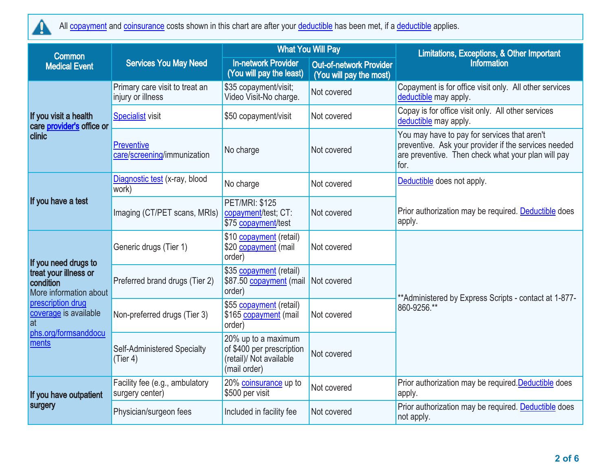

All [copayment](http://www.healthcare.gov/sbc-glossary/#copayment) and [coinsurance](http://www.healthcare.gov/sbc-glossary/#coinsurance) costs shown in this chart are after your [deductible](http://www.healthcare.gov/sbc-glossary/#deductible) has been met, if a deductible applies.

| <b>Common</b>                                                |                                                     |                                                                                             | <b>What You Will Pay</b>                                  | Limitations, Exceptions, & Other Important                                                                                                                         |  |
|--------------------------------------------------------------|-----------------------------------------------------|---------------------------------------------------------------------------------------------|-----------------------------------------------------------|--------------------------------------------------------------------------------------------------------------------------------------------------------------------|--|
| <b>Medical Event</b>                                         | <b>Services You May Need</b>                        | <b>In-network Provider</b><br>(You will pay the least)                                      | <b>Out-of-network Provider</b><br>(You will pay the most) | <b>Information</b>                                                                                                                                                 |  |
|                                                              | Primary care visit to treat an<br>injury or illness | \$35 copayment/visit;<br>Video Visit-No charge.                                             | Not covered                                               | Copayment is for office visit only. All other services<br>deductible may apply.                                                                                    |  |
| If you visit a health<br>care provider's office or           | <b>Specialist visit</b>                             | \$50 copayment/visit                                                                        | Not covered                                               | Copay is for office visit only. All other services<br>deductible may apply.                                                                                        |  |
| clinic                                                       | <b>Preventive</b><br>care/screening/immunization    | No charge                                                                                   | Not covered                                               | You may have to pay for services that aren't<br>preventive. Ask your provider if the services needed<br>are preventive. Then check what your plan will pay<br>for. |  |
|                                                              | Diagnostic test (x-ray, blood<br>work)              | No charge                                                                                   | Not covered                                               | Deductible does not apply.                                                                                                                                         |  |
| If you have a test                                           | Imaging (CT/PET scans, MRIs)                        | <b>PET/MRI: \$125</b><br>copayment/test; CT:<br>\$75 copayment/test                         | Not covered                                               | Prior authorization may be required. Deductible does<br>apply.                                                                                                     |  |
| If you need drugs to                                         | Generic drugs (Tier 1)                              | \$10 copayment (retail)<br>\$20 copayment (mail<br>order)                                   | Not covered                                               |                                                                                                                                                                    |  |
| treat your illness or<br>condition<br>More information about | Preferred brand drugs (Tier 2)                      | \$35 copayment (retail)<br>\$87.50 copayment (mail<br>order)                                | Not covered                                               | ** Administered by Express Scripts - contact at 1-877-                                                                                                             |  |
| prescription drug<br>coverage is available<br>at             | Non-preferred drugs (Tier 3)                        | \$55 copayment (retail)<br>\$165 copayment (mail<br>order)                                  | Not covered                                               | 860-9256.**                                                                                                                                                        |  |
| phs.org/formsanddocu<br>ments                                | Self-Administered Specialty<br>(Tier 4)             | 20% up to a maximum<br>of \$400 per prescription<br>(retail)/ Not available<br>(mail order) | Not covered                                               |                                                                                                                                                                    |  |
| If you have outpatient                                       | Facility fee (e.g., ambulatory<br>surgery center)   | 20% coinsurance up to<br>\$500 per visit                                                    | Not covered                                               | Prior authorization may be required. Deductible does<br>apply.                                                                                                     |  |
| surgery                                                      | Physician/surgeon fees                              | Included in facility fee                                                                    | Not covered                                               | Prior authorization may be required. Deductible does<br>not apply.                                                                                                 |  |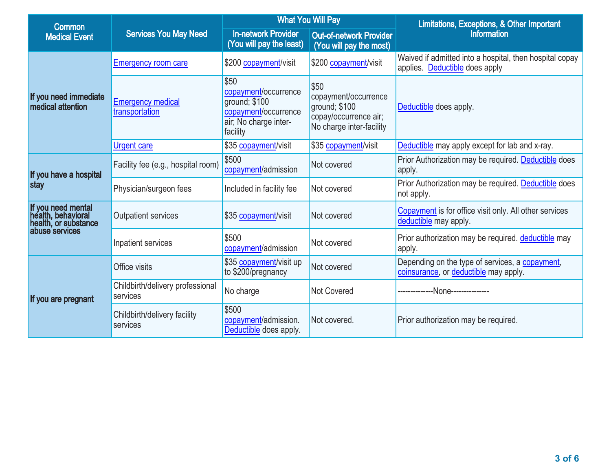| Common                                                           | <b>Services You May Need</b>                 |                                                                                                            | <b>What You Will Pay</b>                                                                           | Limitations, Exceptions, & Other Important                                                |  |
|------------------------------------------------------------------|----------------------------------------------|------------------------------------------------------------------------------------------------------------|----------------------------------------------------------------------------------------------------|-------------------------------------------------------------------------------------------|--|
| <b>Medical Event</b>                                             |                                              | <b>In-network Provider</b><br>(You will pay the least)                                                     | <b>Out-of-network Provider</b><br>(You will pay the most)                                          | <b>Information</b>                                                                        |  |
| If you need immediate<br>medical attention                       | <b>Emergency room care</b>                   | \$200 copayment/visit                                                                                      | \$200 copayment/visit                                                                              | Waived if admitted into a hospital, then hospital copay<br>applies. Deductible does apply |  |
|                                                                  | <b>Emergency medical</b><br>transportation   | \$50<br>copayment/occurrence<br>ground; \$100<br>copayment/occurrence<br>air; No charge inter-<br>facility | \$50<br>copayment/occurrence<br>ground; \$100<br>copay/occurrence air;<br>No charge inter-facility | Deductible does apply.                                                                    |  |
|                                                                  | <b>Urgent care</b>                           | \$35 copayment/visit                                                                                       | \$35 copayment/visit                                                                               | Deductible may apply except for lab and x-ray.                                            |  |
| If you have a hospital                                           | Facility fee (e.g., hospital room)           | \$500<br>copayment/admission                                                                               | Not covered                                                                                        | Prior Authorization may be required. Deductible does<br>apply.                            |  |
| stay                                                             | Physician/surgeon fees                       | Included in facility fee                                                                                   | Not covered                                                                                        | Prior Authorization may be required. Deductible does<br>not apply.                        |  |
| If you need mental<br>health, behavioral<br>health, or substance | <b>Outpatient services</b>                   | \$35 copayment/visit                                                                                       | Not covered                                                                                        | Copayment is for office visit only. All other services<br>deductible may apply.           |  |
| abuse services                                                   | Inpatient services                           | \$500<br>copayment/admission                                                                               | Not covered                                                                                        | Prior authorization may be required. deductible may<br>apply.                             |  |
|                                                                  | Office visits                                | \$35 copayment/visit up<br>to \$200/pregnancy                                                              | Not covered                                                                                        | Depending on the type of services, a copayment,<br>coinsurance, or deductible may apply.  |  |
| If you are pregnant                                              | Childbirth/delivery professional<br>services | No charge                                                                                                  | <b>Not Covered</b>                                                                                 | ---None--------------                                                                     |  |
|                                                                  | Childbirth/delivery facility<br>services     | \$500<br>copayment/admission.<br>Deductible does apply.                                                    | Not covered.                                                                                       | Prior authorization may be required.                                                      |  |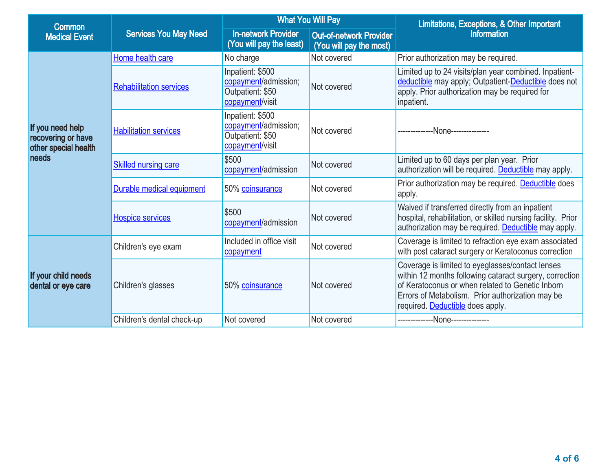| Common                                                                  | <b>Services You May Need</b>   |                                                                                 | <b>What You Will Pay</b>                                  | Limitations, Exceptions, & Other Important                                                                                                                                                                                                              |  |
|-------------------------------------------------------------------------|--------------------------------|---------------------------------------------------------------------------------|-----------------------------------------------------------|---------------------------------------------------------------------------------------------------------------------------------------------------------------------------------------------------------------------------------------------------------|--|
| <b>Medical Event</b>                                                    |                                | <b>In-network Provider</b><br>(You will pay the least)                          | <b>Out-of-network Provider</b><br>(You will pay the most) | <b>Information</b>                                                                                                                                                                                                                                      |  |
|                                                                         | Home health care               | No charge                                                                       | Not covered                                               | Prior authorization may be required.                                                                                                                                                                                                                    |  |
| If you need help<br>recovering or have<br>other special health<br>needs | <b>Rehabilitation services</b> | Inpatient: \$500<br>copayment/admission;<br>Outpatient: \$50<br>copayment/visit | Not covered                                               | Limited up to 24 visits/plan year combined. Inpatient-<br>deductible may apply; Outpatient-Deductible does not<br>apply. Prior authorization may be required for<br>inpatient.                                                                          |  |
|                                                                         | <b>Habilitation services</b>   | Inpatient: \$500<br>copayment/admission;<br>Outpatient: \$50<br>copayment/visit | Not covered                                               | -None--------------                                                                                                                                                                                                                                     |  |
|                                                                         | Skilled nursing care           | \$500<br>copayment/admission                                                    | Not covered                                               | Limited up to 60 days per plan year. Prior<br>authorization will be required. Deductible may apply.                                                                                                                                                     |  |
|                                                                         | Durable medical equipment      | 50% coinsurance                                                                 | Not covered                                               | Prior authorization may be required. Deductible does<br>apply.                                                                                                                                                                                          |  |
|                                                                         | <b>Hospice services</b>        | \$500<br>copayment/admission                                                    | Not covered                                               | Waived if transferred directly from an inpatient<br>hospital, rehabilitation, or skilled nursing facility. Prior<br>authorization may be required. Deductible may apply.                                                                                |  |
|                                                                         | Children's eye exam            | Included in office visit<br>copayment                                           | Not covered                                               | Coverage is limited to refraction eye exam associated<br>with post cataract surgery or Keratoconus correction                                                                                                                                           |  |
| If your child needs<br>dental or eye care                               | Children's glasses             | 50% coinsurance                                                                 | Not covered                                               | Coverage is limited to eyeglasses/contact lenses<br>within 12 months following cataract surgery, correction<br>of Keratoconus or when related to Genetic Inborn<br>Errors of Metabolism. Prior authorization may be<br>required. Deductible does apply. |  |
|                                                                         | Children's dental check-up     | Not covered                                                                     | Not covered                                               | -------------None--------------                                                                                                                                                                                                                         |  |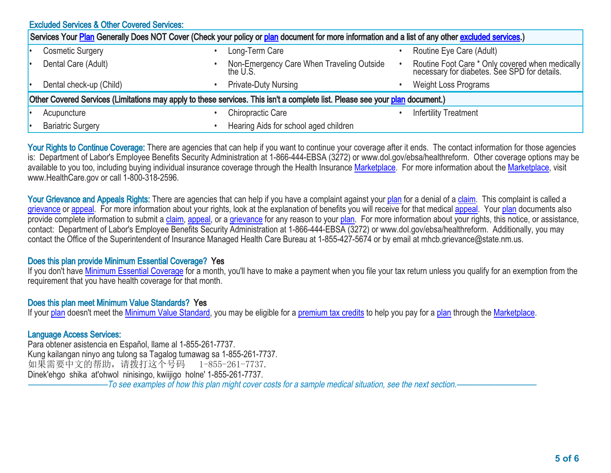|                                                                                                                                                  | <b>Excluded Services &amp; Other Covered Services:</b> |  |                                                       |  |                                                                                                 |  |
|--------------------------------------------------------------------------------------------------------------------------------------------------|--------------------------------------------------------|--|-------------------------------------------------------|--|-------------------------------------------------------------------------------------------------|--|
| Services Your Plan Generally Does NOT Cover (Check your policy or plan document for more information and a list of any other excluded services.) |                                                        |  |                                                       |  |                                                                                                 |  |
|                                                                                                                                                  | <b>Cosmetic Surgery</b>                                |  | Long-Term Care                                        |  | Routine Eye Care (Adult)                                                                        |  |
|                                                                                                                                                  | Dental Care (Adult)                                    |  | Non-Emergency Care When Traveling Outside<br>the U.S. |  | Routine Foot Care * Only covered when medically<br>necessary for diabetes. See SPD for details. |  |
|                                                                                                                                                  | Dental check-up (Child)                                |  | <b>Private-Duty Nursing</b>                           |  | <b>Weight Loss Programs</b>                                                                     |  |
| Other Covered Services (Limitations may apply to these services. This isn't a complete list. Please see your plan document.)                     |                                                        |  |                                                       |  |                                                                                                 |  |
|                                                                                                                                                  | Acupuncture                                            |  | <b>Chiropractic Care</b>                              |  | <b>Infertility Treatment</b>                                                                    |  |
|                                                                                                                                                  | <b>Bariatric Surgery</b>                               |  | Hearing Aids for school aged children                 |  |                                                                                                 |  |

Your Rights to Continue Coverage: There are agencies that can help if you want to continue your coverage after it ends. The contact information for those agencies is: Department of Labor's Employee Benefits Security Administration at 1-866-444-EBSA (3272) or www.dol.gov/ebsa/healthreform. Other coverage options may be available to you too, including buying individual insurance coverage through the Health Insurance [Marketplace.](http://www.healthcare.gov/sbc-glossary/#marketplace) For more information about the [Marketplace,](http://www.healthcare.gov/sbc-glossary/#marketplace) visit www.HealthCare.gov or call 1-800-318-2596.

Your Grievance and Appeals Rights: There are agencies that can help if you have a complaint against your [plan](http://www.healthcare.gov/sbc-glossary/#plan) for a denial of a [claim](http://www.healthcare.gov/sbc-glossary/#claim). This complaint is called a [grievance](http://www.healthcare.gov/sbc-glossary/#grievance) or [appeal.](http://www.healthcare.gov/sbc-glossary/#appeal) For more information about your rights, look at the explanation of benefits you will receive for that medical [appeal](http://www.healthcare.gov/sbc-glossary/#appeal). Your [plan](http://www.healthcare.gov/sbc-glossary/#plan) documents also provide complete information to submit a [claim](http://www.healthcare.gov/sbc-glossary/#claim), [appeal,](http://www.healthcare.gov/sbc-glossary/#appeal) or a [grievance](http://www.healthcare.gov/sbc-glossary/#grievance) for any reason to your [plan.](http://www.healthcare.gov/sbc-glossary/#plan) For more information about your rights, this notice, or assistance, contact: Department of Labor's Employee Benefits Security Administration at 1-866-444-EBSA (3272) or www.dol.gov/ebsa/healthreform. Additionally, you may contact the Office of the Superintendent of Insurance Managed Health Care Bureau at 1-855-427-5674 or by email at mhcb.grievance@state.nm.us.

#### Does this plan provide Minimum Essential Coverage? Yes

If you don't have [Minimum Essential Coverage](http://www.healthcare.gov/sbc-glossary/#minimum-essential-coverage) for a month, you'll have to make a payment when you file your tax return unless you qualify for an exemption from the requirement that you have health coverage for that month.

#### Does this plan meet Minimum Value Standards? Yes

If your [plan](http://www.healthcare.gov/sbc-glossary/#plan) doesn't meet the [Minimum Value Standard](http://www.healthcare.gov/sbc-glossary/#minimum-value-standard), you may be eligible for a [premium tax credits](http://www.healthcare.gov/sbc-glossary/#premium-tax-credits) to help you pay for a plan through the [Marketplace](http://www.healthcare.gov/sbc-glossary/#marketplace).

#### Language Access Services:

Para obtener asistencia en Español, llame al 1-855-261-7737. Kung kailangan ninyo ang tulong sa Tagalog tumawag sa 1-855-261-7737. 如果需要中文的帮助,请拨打这个号码 1-855-261-7737. Dinek'ehgo shika at'ohwol ninisingo, kwiijigo holne' 1-855-261-7737. –To see examples of how this plan might cover costs for a sample medical situation, see the next section.–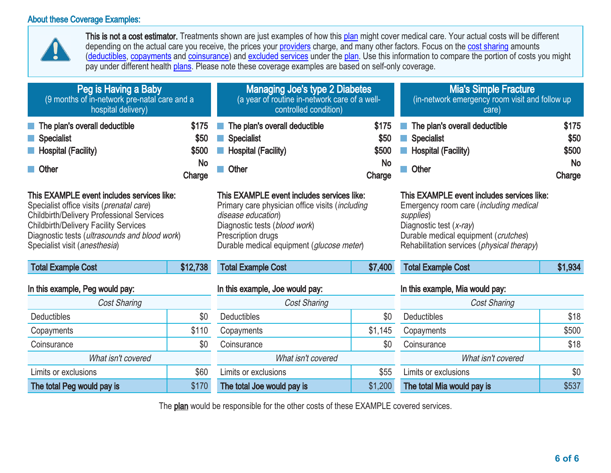### About these Coverage Examples:



This is not a cost estimator. Treatments shown are just examples of how this [plan](http://www.healthcare.gov/sbc-glossary/#plan) might cover medical care. Your actual costs will be different depending on the actual care you receive, the prices your [providers](http://www.healthcare.gov/sbc-glossary/#provider) charge, and many other factors. Focus on the [cost sharing](http://www.healthcare.gov/sbc-glossary/#cost-sharing) amounts [\(deductibles,](http://www.healthcare.gov/sbc-glossary/#deductible) [copayments](http://www.healthcare.gov/sbc-glossary/#copayment) and [coinsurance\)](http://www.healthcare.gov/sbc-glossary/#coinsurance) and [excluded services](http://www.healthcare.gov/sbc-glossary/#excluded-services) under the [plan.](http://www.healthcare.gov/sbc-glossary/#plan) Use this information to compare the portion of costs you might pay under different health [plans](http://www.healthcare.gov/sbc-glossary/#plan). Please note these coverage examples are based on self-only coverage.

| Peg is Having a Baby<br>(9 months of in-network pre-natal care and a<br>hospital delivery)                                                                                                                                                                                   |       | <b>Managing Joe's type 2 Diabetes</b><br>(a year of routine in-network care of a well-<br>controlled condition)                                                                                                         |                                               | <b>Mia's Simple Fracture</b><br>(in-network emergency room visit and follow up<br>care)                                                                                                                                     |                                               |
|------------------------------------------------------------------------------------------------------------------------------------------------------------------------------------------------------------------------------------------------------------------------------|-------|-------------------------------------------------------------------------------------------------------------------------------------------------------------------------------------------------------------------------|-----------------------------------------------|-----------------------------------------------------------------------------------------------------------------------------------------------------------------------------------------------------------------------------|-----------------------------------------------|
| \$175<br>The plan's overall deductible<br>\$50<br><b>Specialist</b><br>\$500<br><b>Hospital (Facility)</b><br><b>No</b><br>Other<br>Charge                                                                                                                                   |       | The plan's overall deductible<br><b>Specialist</b><br><b>Hospital (Facility)</b><br>Other                                                                                                                               | \$175<br>\$50<br>\$500<br><b>No</b><br>Charge | The plan's overall deductible<br><b>Specialist</b><br><b>Hospital (Facility)</b><br>Other                                                                                                                                   | \$175<br>\$50<br>\$500<br><b>No</b><br>Charge |
| This EXAMPLE event includes services like:<br>Specialist office visits (prenatal care)<br><b>Childbirth/Delivery Professional Services</b><br><b>Childbirth/Delivery Facility Services</b><br>Diagnostic tests (ultrasounds and blood work)<br>Specialist visit (anesthesia) |       | This EXAMPLE event includes services like:<br>Primary care physician office visits (including<br>disease education)<br>Diagnostic tests (blood work)<br>Prescription drugs<br>Durable medical equipment (glucose meter) |                                               | This EXAMPLE event includes services like:<br>Emergency room care (including medical<br>supplies)<br>Diagnostic test (x-ray)<br>Durable medical equipment (crutches)<br>Rehabilitation services ( <i>physical therapy</i> ) |                                               |
| \$12,738<br><b>Total Example Cost</b>                                                                                                                                                                                                                                        |       | <b>Total Example Cost</b>                                                                                                                                                                                               | \$7,400                                       | <b>Total Example Cost</b><br>\$1,934                                                                                                                                                                                        |                                               |
| In this example, Peg would pay:                                                                                                                                                                                                                                              |       | In this example, Joe would pay:                                                                                                                                                                                         |                                               | In this example, Mia would pay:                                                                                                                                                                                             |                                               |
| Cost Sharing                                                                                                                                                                                                                                                                 |       | <b>Cost Sharing</b><br><b>Cost Sharing</b>                                                                                                                                                                              |                                               |                                                                                                                                                                                                                             |                                               |
| <b>Deductibles</b>                                                                                                                                                                                                                                                           | \$0   | <b>Deductibles</b>                                                                                                                                                                                                      | \$0                                           | Deductibles                                                                                                                                                                                                                 | \$18                                          |
| Copayments                                                                                                                                                                                                                                                                   | \$110 | Copayments                                                                                                                                                                                                              | \$1,145                                       | Copayments                                                                                                                                                                                                                  | \$500                                         |
| \$0<br>Coinsurance                                                                                                                                                                                                                                                           |       | Coinsurance                                                                                                                                                                                                             | \$0                                           | Coinsurance                                                                                                                                                                                                                 | \$18                                          |
| What isn't covered                                                                                                                                                                                                                                                           |       | What isn't covered                                                                                                                                                                                                      |                                               | What isn't covered                                                                                                                                                                                                          |                                               |
| Limits or exclusions                                                                                                                                                                                                                                                         | \$60  | Limits or exclusions                                                                                                                                                                                                    | \$55                                          | Limits or exclusions                                                                                                                                                                                                        | \$0                                           |
| The total Peg would pay is                                                                                                                                                                                                                                                   | \$170 | The total Joe would pay is                                                                                                                                                                                              | \$1,200                                       | The total Mia would pay is                                                                                                                                                                                                  | \$537                                         |

The **plan** would be responsible for the other costs of these EXAMPLE covered services.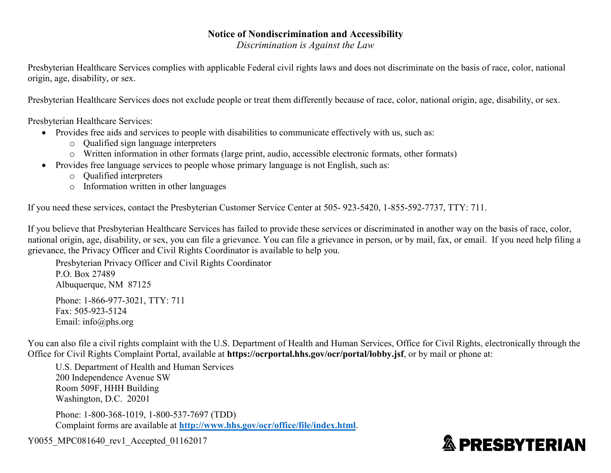### **Notice of Nondiscrimination and Accessibility**

*Discrimination is Against the Law* 

Presbyterian Healthcare Services complies with applicable Federal civil rights laws and does not discriminate on the basis of race, color, national origin, age, disability, or sex.

Presbyterian Healthcare Services does not exclude people or treat them differently because of race, color, national origin, age, disability, or sex.

Presbyterian Healthcare Services:

- Provides free aids and services to people with disabilities to communicate effectively with us, such as:
	- o Qualified sign language interpreters
	- o Written information in other formats (large print, audio, accessible electronic formats, other formats)
- Provides free language services to people whose primary language is not English, such as:
	- o Qualified interpreters
	- o Information written in other languages

If you need these services, contact the Presbyterian Customer Service Center at 505- 923-5420, 1-855-592-7737, TTY: 711.

If you believe that Presbyterian Healthcare Services has failed to provide these services or discriminated in another way on the basis of race, color, national origin, age, disability, or sex, you can file a grievance. You can file a grievance in person, or by mail, fax, or email. If you need help filing a grievance, the Privacy Officer and Civil Rights Coordinator is available to help you.

Presbyterian Privacy Officer and Civil Rights Coordinator P.O. Box 27489 Albuquerque, NM 87125

Phone: 1-866-977-3021, TTY: 711 Fax: 505-923-5124 Email: info@phs.org

You can also file a civil rights complaint with the U.S. Department of Health and Human Services, Office for Civil Rights, electronically through the Office for Civil Rights Complaint Portal, available at **https://ocrportal.hhs.gov/ocr/portal/lobby.jsf**, or by mail or phone at:

U.S. Department of Health and Human Services 200 Independence Avenue SW Room 509F, HHH Building Washington, D.C. 20201

Phone: 1-800-368-1019, 1-800-537-7697 (TDD) Complaint forms are available at **<http://www.hhs.gov/ocr/office/file/index.html>**.

Y0055\_MPC081640\_rev1\_Accepted\_01162017

# **& PRESBYTERIAN**